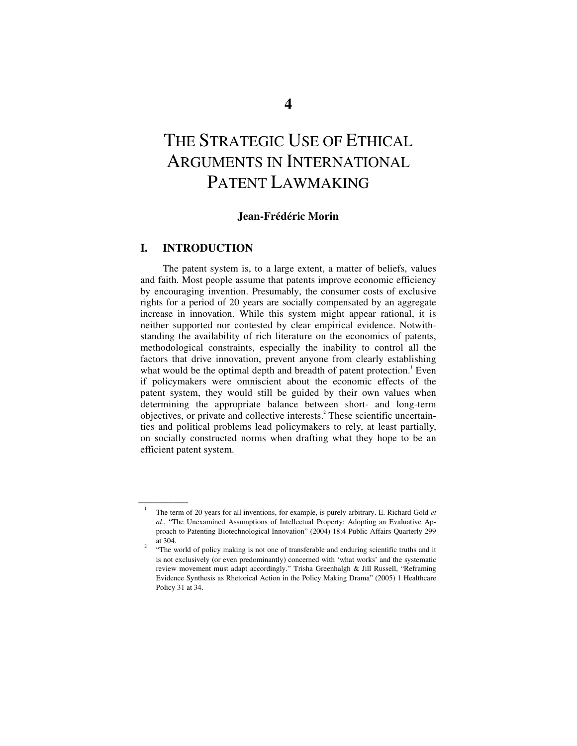# THE STRATEGIC USE OF ETHICAL ARGUMENTS IN INTERNATIONAL PATENT LAWMAKING

## **Jean-Frédéric Morin**

#### **I. INTRODUCTION**

 $\overline{\phantom{a}}$  , where  $\overline{\phantom{a}}$ 

The patent system is, to a large extent, a matter of beliefs, values and faith. Most people assume that patents improve economic efficiency by encouraging invention. Presumably, the consumer costs of exclusive rights for a period of 20 years are socially compensated by an aggregate increase in innovation. While this system might appear rational, it is neither supported nor contested by clear empirical evidence. Notwithstanding the availability of rich literature on the economics of patents, methodological constraints, especially the inability to control all the factors that drive innovation, prevent anyone from clearly establishing what would be the optimal depth and breadth of patent protection.<sup>1</sup> Even if policymakers were omniscient about the economic effects of the patent system, they would still be guided by their own values when determining the appropriate balance between short- and long-term objectives, or private and collective interests.<sup>2</sup> These scientific uncertainties and political problems lead policymakers to rely, at least partially, on socially constructed norms when drafting what they hope to be an efficient patent system.

<sup>1</sup> The term of 20 years for all inventions, for example, is purely arbitrary. E. Richard Gold *et al*., "The Unexamined Assumptions of Intellectual Property: Adopting an Evaluative Approach to Patenting Biotechnological Innovation" (2004) 18:4 Public Affairs Quarterly 299  $\frac{1}{2}$  at 304.

 <sup>&</sup>quot;The world of policy making is not one of transferable and enduring scientific truths and it is not exclusively (or even predominantly) concerned with 'what works' and the systematic review movement must adapt accordingly." Trisha Greenhalgh & Jill Russell, "Reframing Evidence Synthesis as Rhetorical Action in the Policy Making Drama" (2005) 1 Healthcare Policy 31 at 34.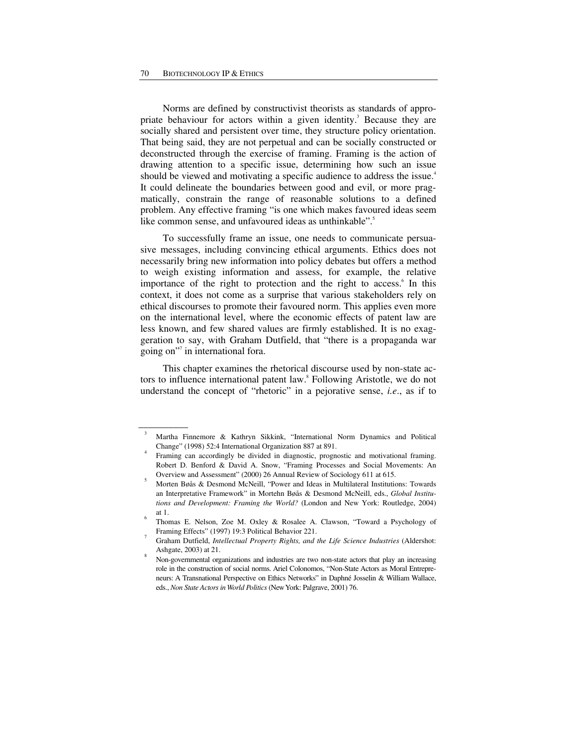Norms are defined by constructivist theorists as standards of appropriate behaviour for actors within a given identity.<sup>3</sup> Because they are socially shared and persistent over time, they structure policy orientation. That being said, they are not perpetual and can be socially constructed or deconstructed through the exercise of framing. Framing is the action of drawing attention to a specific issue, determining how such an issue should be viewed and motivating a specific audience to address the issue.<sup>4</sup> It could delineate the boundaries between good and evil, or more pragmatically, constrain the range of reasonable solutions to a defined problem. Any effective framing "is one which makes favoured ideas seem like common sense, and unfavoured ideas as unthinkable".<sup>5</sup>

To successfully frame an issue, one needs to communicate persuasive messages, including convincing ethical arguments. Ethics does not necessarily bring new information into policy debates but offers a method to weigh existing information and assess, for example, the relative importance of the right to protection and the right to access.<sup>6</sup> In this context, it does not come as a surprise that various stakeholders rely on ethical discourses to promote their favoured norm. This applies even more on the international level, where the economic effects of patent law are less known, and few shared values are firmly established. It is no exaggeration to say, with Graham Dutfield, that "there is a propaganda war going on"7 in international fora.

This chapter examines the rhetorical discourse used by non-state actors to influence international patent law.<sup>8</sup> Following Aristotle, we do not understand the concept of "rhetoric" in a pejorative sense, *i.e*., as if to

<sup>3</sup> Martha Finnemore & Kathryn Sikkink, "International Norm Dynamics and Political Change" (1998) 52:4 International Organization 887 at 891. 4

Framing can accordingly be divided in diagnostic, prognostic and motivational framing. Robert D. Benford & David A. Snow, "Framing Processes and Social Movements: An Overview and Assessment" (2000) 26 Annual Review of Sociology 611 at 615.

Morten Bøås & Desmond McNeill, "Power and Ideas in Multilateral Institutions: Towards an Interpretative Framework" in Mortehn Bøås & Desmond McNeill, eds., *Global Institutions and Development: Framing the World?* (London and New York: Routledge, 2004) at 1. 6

Thomas E. Nelson, Zoe M. Oxley & Rosalee A. Clawson, "Toward a Psychology of Framing Effects" (1997) 19:3 Political Behavior 221. 7

Graham Dutfield, *Intellectual Property Rights, and the Life Science Industries* (Aldershot: Ashgate, 2003) at 21. 8

Non-governmental organizations and industries are two non-state actors that play an increasing role in the construction of social norms. Ariel Colonomos, "Non-State Actors as Moral Entrepreneurs: A Transnational Perspective on Ethics Networks" in Daphné Josselin & William Wallace, eds., *Non State Actors in World Politics* (New York: Palgrave, 2001) 76.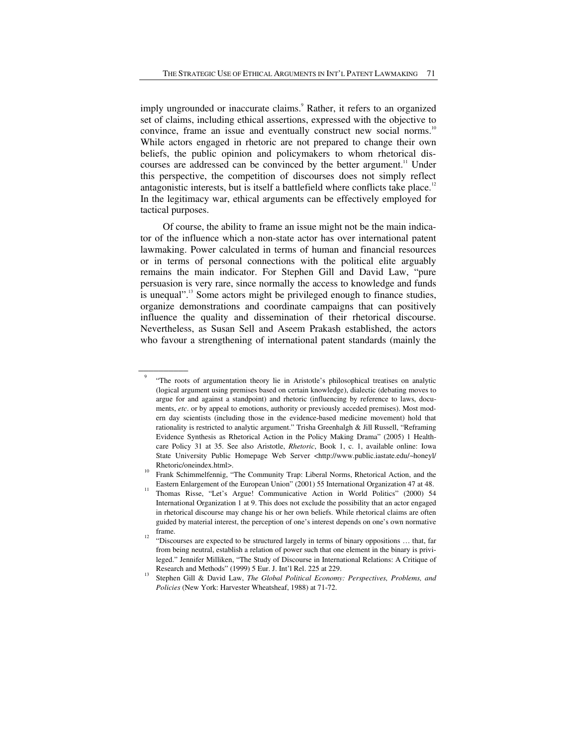imply ungrounded or inaccurate claims.<sup>9</sup> Rather, it refers to an organized set of claims, including ethical assertions, expressed with the objective to convince, frame an issue and eventually construct new social norms.<sup>10</sup> While actors engaged in rhetoric are not prepared to change their own beliefs, the public opinion and policymakers to whom rhetorical discourses are addressed can be convinced by the better argument.<sup>11</sup> Under this perspective, the competition of discourses does not simply reflect antagonistic interests, but is itself a battlefield where conflicts take place.<sup>12</sup> In the legitimacy war, ethical arguments can be effectively employed for tactical purposes.

Of course, the ability to frame an issue might not be the main indicator of the influence which a non-state actor has over international patent lawmaking. Power calculated in terms of human and financial resources or in terms of personal connections with the political elite arguably remains the main indicator. For Stephen Gill and David Law, "pure persuasion is very rare, since normally the access to knowledge and funds is unequal".<sup>13</sup> Some actors might be privileged enough to finance studies, organize demonstrations and coordinate campaigns that can positively influence the quality and dissemination of their rhetorical discourse. Nevertheless, as Susan Sell and Aseem Prakash established, the actors who favour a strengthening of international patent standards (mainly the

<sup>&</sup>quot;The roots of argumentation theory lie in Aristotle's philosophical treatises on analytic (logical argument using premises based on certain knowledge), dialectic (debating moves to argue for and against a standpoint) and rhetoric (influencing by reference to laws, documents, *etc*. or by appeal to emotions, authority or previously acceded premises). Most modern day scientists (including those in the evidence-based medicine movement) hold that rationality is restricted to analytic argument." Trisha Greenhalgh & Jill Russell, "Reframing Evidence Synthesis as Rhetorical Action in the Policy Making Drama" (2005) 1 Healthcare Policy 31 at 35. See also Aristotle, *Rhetoric*, Book 1, c. 1, available online: Iowa State University Public Homepage Web Server <http://www.public.iastate.edu/~honeyl/

Rhetoric/oneindex.html>.<br>
10 Frank Schimmelfennig, "The Community Trap: Liberal Norms, Rhetorical Action, and the

Eastern Enlargement of the European Union" (2001) 55 International Organization 47 at 48. 11 Thomas Risse, "Let's Argue! Communicative Action in World Politics" (2000) 54 International Organization 1 at 9. This does not exclude the possibility that an actor engaged in rhetorical discourse may change his or her own beliefs. While rhetorical claims are often guided by material interest, the perception of one's interest depends on one's own normative

frame.<br><sup>12</sup> "Discourses are expected to be structured largely in terms of binary oppositions ... that, far from being neutral, establish a relation of power such that one element in the binary is privileged." Jennifer Milliken, "The Study of Discourse in International Relations: A Critique of

Research and Methods" (1999) 5 Eur. J. Int'l Rel. 225 at 229.<br>Stephen Gill & David Law, *The Global Political Economy: Perspectives, Problems, and Policies* (New York: Harvester Wheatsheaf, 1988) at 71-72.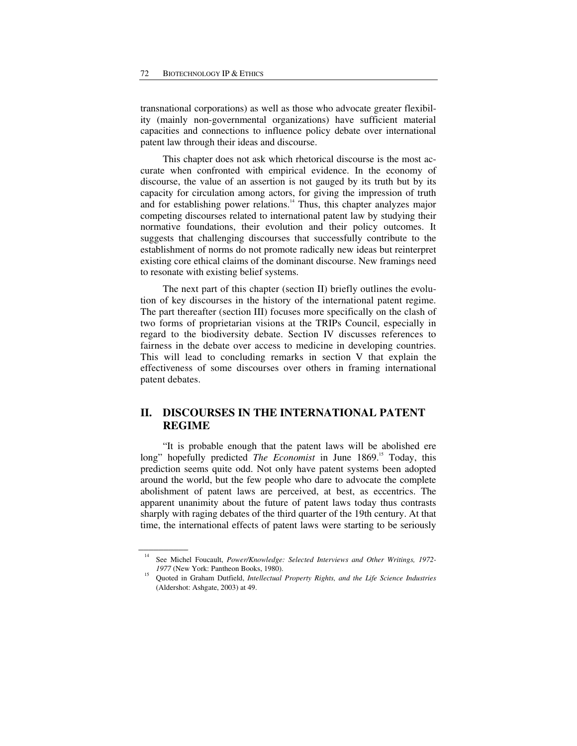transnational corporations) as well as those who advocate greater flexibility (mainly non-governmental organizations) have sufficient material capacities and connections to influence policy debate over international patent law through their ideas and discourse.

This chapter does not ask which rhetorical discourse is the most accurate when confronted with empirical evidence. In the economy of discourse, the value of an assertion is not gauged by its truth but by its capacity for circulation among actors, for giving the impression of truth and for establishing power relations.<sup>14</sup> Thus, this chapter analyzes major competing discourses related to international patent law by studying their normative foundations, their evolution and their policy outcomes. It suggests that challenging discourses that successfully contribute to the establishment of norms do not promote radically new ideas but reinterpret existing core ethical claims of the dominant discourse. New framings need to resonate with existing belief systems.

The next part of this chapter (section II) briefly outlines the evolution of key discourses in the history of the international patent regime. The part thereafter (section III) focuses more specifically on the clash of two forms of proprietarian visions at the TRIPs Council, especially in regard to the biodiversity debate. Section IV discusses references to fairness in the debate over access to medicine in developing countries. This will lead to concluding remarks in section V that explain the effectiveness of some discourses over others in framing international patent debates.

# **II. DISCOURSES IN THE INTERNATIONAL PATENT REGIME**

"It is probable enough that the patent laws will be abolished ere long" hopefully predicted *The Economist* in June 1869.<sup>15</sup> Today, this prediction seems quite odd. Not only have patent systems been adopted around the world, but the few people who dare to advocate the complete abolishment of patent laws are perceived, at best, as eccentrics. The apparent unanimity about the future of patent laws today thus contrasts sharply with raging debates of the third quarter of the 19th century. At that time, the international effects of patent laws were starting to be seriously

See Michel Foucault, *Power/Knowledge: Selected Interviews and Other Writings, 1972-1977* (New York: Pantheon Books, 1980).<br>Quoted in Graham Dutfield, *Intellectual Property Rights, and the Life Science Industries* 

<sup>(</sup>Aldershot: Ashgate, 2003) at 49.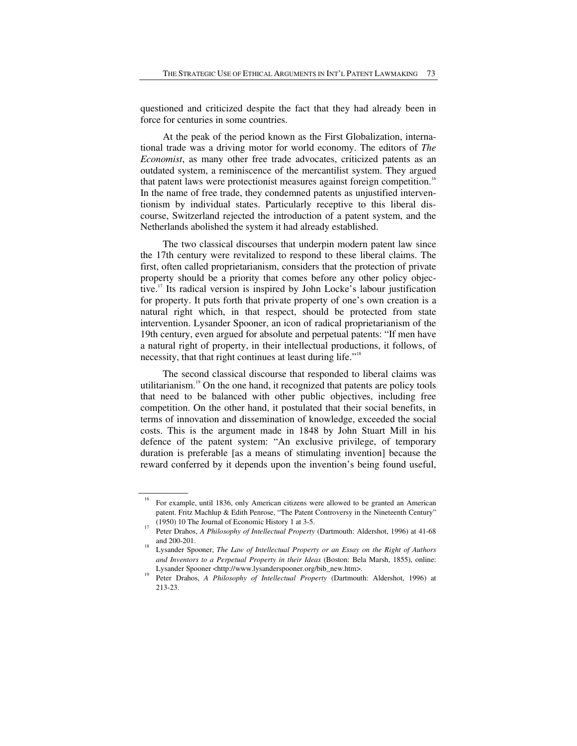questioned and criticized despite the fact that they had already been in force for centuries in some countries.

At the peak of the period known as the First Globalization, international trade was a driving motor for world economy. The editors of *The Economist*, as many other free trade advocates, criticized patents as an outdated system, a reminiscence of the mercantilist system. They argued that patent laws were protectionist measures against foreign competition.<sup>16</sup> In the name of free trade, they condemned patents as unjustified interventionism by individual states. Particularly receptive to this liberal discourse, Switzerland rejected the introduction of a patent system, and the Netherlands abolished the system it had already established.

The two classical discourses that underpin modern patent law since the 17th century were revitalized to respond to these liberal claims. The first, often called proprietarianism, considers that the protection of private property should be a priority that comes before any other policy objective.17 Its radical version is inspired by John Locke's labour justification for property. It puts forth that private property of one's own creation is a natural right which, in that respect, should be protected from state intervention. Lysander Spooner, an icon of radical proprietarianism of the 19th century, even argued for absolute and perpetual patents: "If men have a natural right of property, in their intellectual productions, it follows, of necessity, that that right continues at least during life."<sup>18</sup>

The second classical discourse that responded to liberal claims was utilitarianism.19 On the one hand, it recognized that patents are policy tools that need to be balanced with other public objectives, including free competition. On the other hand, it postulated that their social benefits, in terms of innovation and dissemination of knowledge, exceeded the social costs. This is the argument made in 1848 by John Stuart Mill in his defence of the patent system: "An exclusive privilege, of temporary duration is preferable [as a means of stimulating invention] because the reward conferred by it depends upon the invention's being found useful,

<sup>&</sup>lt;sup>16</sup> For example, until 1836, only American citizens were allowed to be granted an American patent. Fritz Machlup & Edith Penrose, "The Patent Controversy in the Nineteenth Century" (1950) 10 The Journal of Economic History 1 at 3-5.<br>Peter Drahos, *A Philosophy of Intellectual Property* (Dartmouth: Aldershot, 1996) at 41-68

and 200-201. 18 Lysander Spooner, *The Law of Intellectual Property or an Essay on the Right of Authors* 

*and Inventors to a Perpetual Property in their Ideas* (Boston: Bela Marsh, 1855), online: Lysander Spooner <http://www.lysanderspooner.org/bib\_new.htm>.

Peter Drahos, *A Philosophy of Intellectual Property* (Dartmouth: Aldershot, 1996) at 213-23.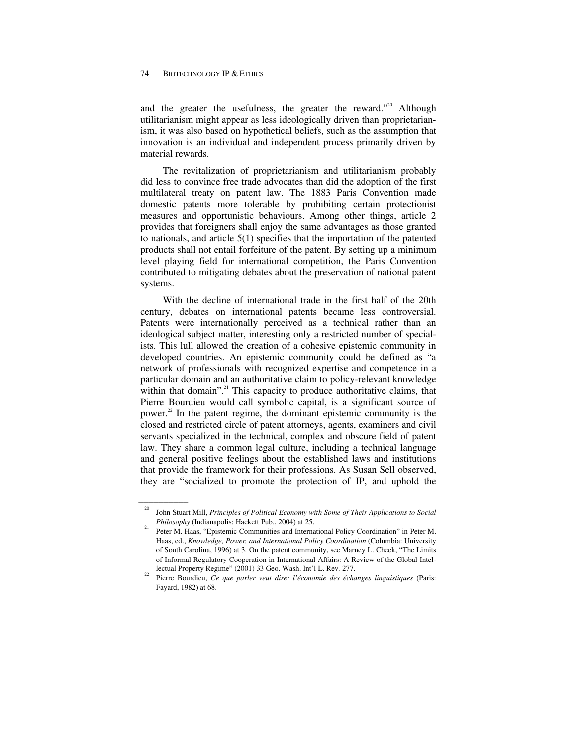and the greater the usefulness, the greater the reward."<sup>20</sup> Although utilitarianism might appear as less ideologically driven than proprietarianism, it was also based on hypothetical beliefs, such as the assumption that innovation is an individual and independent process primarily driven by material rewards.

The revitalization of proprietarianism and utilitarianism probably did less to convince free trade advocates than did the adoption of the first multilateral treaty on patent law. The 1883 Paris Convention made domestic patents more tolerable by prohibiting certain protectionist measures and opportunistic behaviours. Among other things, article 2 provides that foreigners shall enjoy the same advantages as those granted to nationals, and article 5(1) specifies that the importation of the patented products shall not entail forfeiture of the patent. By setting up a minimum level playing field for international competition, the Paris Convention contributed to mitigating debates about the preservation of national patent systems.

With the decline of international trade in the first half of the 20th century, debates on international patents became less controversial. Patents were internationally perceived as a technical rather than an ideological subject matter, interesting only a restricted number of specialists. This lull allowed the creation of a cohesive epistemic community in developed countries. An epistemic community could be defined as "a network of professionals with recognized expertise and competence in a particular domain and an authoritative claim to policy-relevant knowledge within that domain".<sup>21</sup> This capacity to produce authoritative claims, that Pierre Bourdieu would call symbolic capital, is a significant source of power. $^{22}$  In the patent regime, the dominant epistemic community is the closed and restricted circle of patent attorneys, agents, examiners and civil servants specialized in the technical, complex and obscure field of patent law. They share a common legal culture, including a technical language and general positive feelings about the established laws and institutions that provide the framework for their professions. As Susan Sell observed, they are "socialized to promote the protection of IP, and uphold the

<sup>20</sup> John Stuart Mill, *Principles of Political Economy with Some of Their Applications to Social Philosophy* (Indianapolis: Hackett Pub., 2004) at 25.<br><sup>21</sup> Peter M. Haas, "Epistemic Communities and International Policy Coordination" in Peter M.

Haas, ed., *Knowledge, Power, and International Policy Coordination* (Columbia: University of South Carolina, 1996) at 3. On the patent community, see Marney L. Cheek, "The Limits of Informal Regulatory Cooperation in International Affairs: A Review of the Global Intel-

lectual Property Regime" (2001) 33 Geo. Wash. Int'l L. Rev*.* 277. 22 Pierre Bourdieu, *Ce que parler veut dire: l'économie des échanges linguistiques* (Paris: Fayard, 1982) at 68.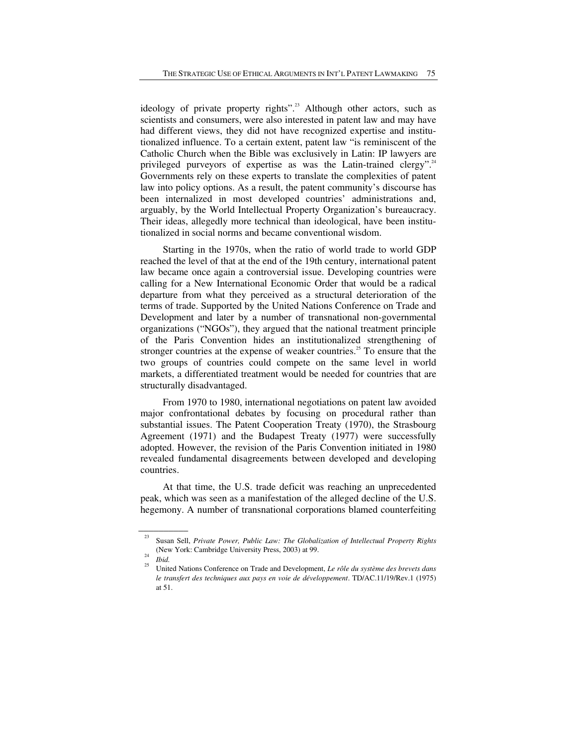ideology of private property rights".<sup>23</sup> Although other actors, such as scientists and consumers, were also interested in patent law and may have had different views, they did not have recognized expertise and institutionalized influence. To a certain extent, patent law "is reminiscent of the Catholic Church when the Bible was exclusively in Latin: IP lawyers are privileged purveyors of expertise as was the Latin-trained clergy".<sup>24</sup> Governments rely on these experts to translate the complexities of patent law into policy options. As a result, the patent community's discourse has been internalized in most developed countries' administrations and, arguably, by the World Intellectual Property Organization's bureaucracy. Their ideas, allegedly more technical than ideological, have been institutionalized in social norms and became conventional wisdom.

Starting in the 1970s, when the ratio of world trade to world GDP reached the level of that at the end of the 19th century, international patent law became once again a controversial issue. Developing countries were calling for a New International Economic Order that would be a radical departure from what they perceived as a structural deterioration of the terms of trade. Supported by the United Nations Conference on Trade and Development and later by a number of transnational non-governmental organizations ("NGOs"), they argued that the national treatment principle of the Paris Convention hides an institutionalized strengthening of stronger countries at the expense of weaker countries.<sup>25</sup> To ensure that the two groups of countries could compete on the same level in world markets, a differentiated treatment would be needed for countries that are structurally disadvantaged.

From 1970 to 1980, international negotiations on patent law avoided major confrontational debates by focusing on procedural rather than substantial issues. The Patent Cooperation Treaty (1970), the Strasbourg Agreement (1971) and the Budapest Treaty (1977) were successfully adopted. However, the revision of the Paris Convention initiated in 1980 revealed fundamental disagreements between developed and developing countries.

At that time, the U.S. trade deficit was reaching an unprecedented peak, which was seen as a manifestation of the alleged decline of the U.S. hegemony. A number of transnational corporations blamed counterfeiting

<sup>23</sup> Susan Sell, *Private Power, Public Law: The Globalization of Intellectual Property Rights* (New York: Cambridge University Press, 2003) at 99. 24 *Ibid.* 25 United Nations Conference on Trade and Development, *Le rôle du système des brevets dans* 

*le transfert des techniques aux pays en voie de développement*. TD/AC.11/19/Rev.1 (1975) at 51.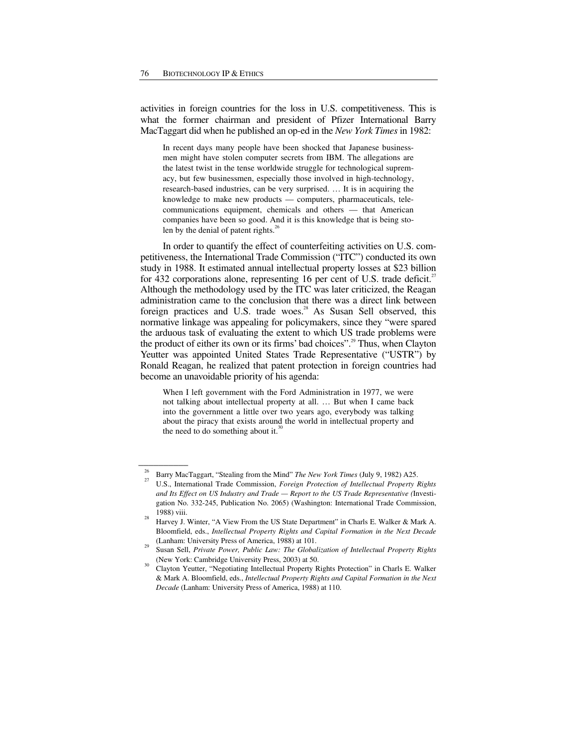activities in foreign countries for the loss in U.S. competitiveness. This is what the former chairman and president of Pfizer International Barry MacTaggart did when he published an op-ed in the *New York Times* in 1982:

In recent days many people have been shocked that Japanese businessmen might have stolen computer secrets from IBM. The allegations are the latest twist in the tense worldwide struggle for technological supremacy, but few businessmen, especially those involved in high-technology, research-based industries, can be very surprised. … It is in acquiring the knowledge to make new products — computers, pharmaceuticals, telecommunications equipment, chemicals and others — that American companies have been so good. And it is this knowledge that is being stolen by the denial of patent rights. $26$ 

In order to quantify the effect of counterfeiting activities on U.S. competitiveness, the International Trade Commission ("ITC") conducted its own study in 1988. It estimated annual intellectual property losses at \$23 billion for 432 corporations alone, representing 16 per cent of U.S. trade deficit.<sup>2</sup> Although the methodology used by the ITC was later criticized, the Reagan administration came to the conclusion that there was a direct link between foreign practices and U.S. trade woes. $28$  As Susan Sell observed, this normative linkage was appealing for policymakers, since they "were spared the arduous task of evaluating the extent to which US trade problems were the product of either its own or its firms' bad choices".<sup>29</sup> Thus, when Clayton Yeutter was appointed United States Trade Representative ("USTR") by Ronald Reagan, he realized that patent protection in foreign countries had become an unavoidable priority of his agenda:

When I left government with the Ford Administration in 1977, we were not talking about intellectual property at all. … But when I came back into the government a little over two years ago, everybody was talking about the piracy that exists around the world in intellectual property and the need to do something about it. $\overline{3}$ 

<sup>&</sup>lt;sup>26</sup> Barry MacTaggart, "Stealing from the Mind" *The New York Times* (July 9, 1982) A25.<br><sup>27</sup> U.S., International Trade Commission, *Foreign Protection of Intellectual Property Rights and Its Effect on US Industry and Trade — Report to the US Trade Representative (*Investigation No. 332-245, Publication No. 2065) (Washington: International Trade Commission, 1988) viii. 28 Harvey J. Winter, "A View From the US State Department" in Charls E. Walker & Mark A.

Bloomfield, eds., *Intellectual Property Rights and Capital Formation in the Next Decade* (Lanham: University Press of America, 1988) at 101.<br>Susan Sell, *Private Power, Public Law: The Globalization of Intellectual Property Rights* 

<sup>(</sup>New York: Cambridge University Press, 2003) at 50.<br>Clayton Yeutter, "Negotiating Intellectual Property Rights Protection" in Charls E. Walker & Mark A. Bloomfield, eds., *Intellectual Property Rights and Capital Formation in the Next Decade* (Lanham: University Press of America, 1988) at 110.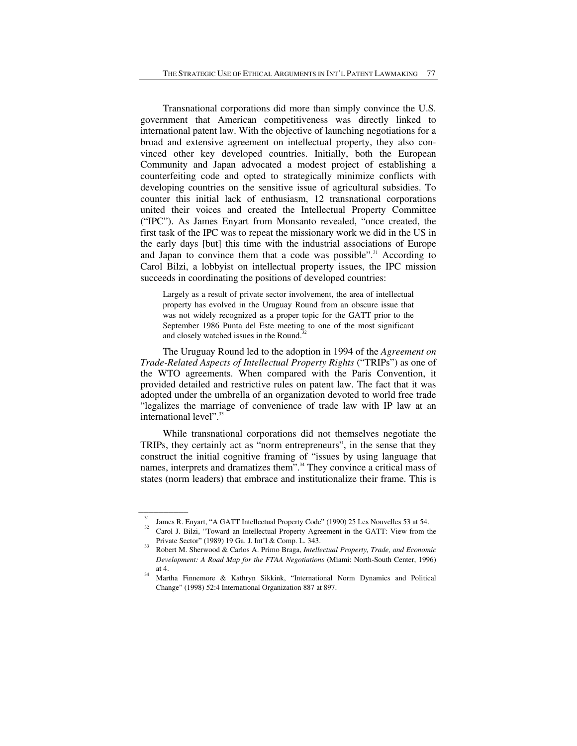Transnational corporations did more than simply convince the U.S. government that American competitiveness was directly linked to international patent law. With the objective of launching negotiations for a broad and extensive agreement on intellectual property, they also convinced other key developed countries. Initially, both the European Community and Japan advocated a modest project of establishing a counterfeiting code and opted to strategically minimize conflicts with developing countries on the sensitive issue of agricultural subsidies. To counter this initial lack of enthusiasm, 12 transnational corporations united their voices and created the Intellectual Property Committee ("IPC"). As James Enyart from Monsanto revealed, "once created, the first task of the IPC was to repeat the missionary work we did in the US in the early days [but] this time with the industrial associations of Europe and Japan to convince them that a code was possible".<sup>31</sup> According to Carol Bilzi, a lobbyist on intellectual property issues, the IPC mission succeeds in coordinating the positions of developed countries:

Largely as a result of private sector involvement, the area of intellectual property has evolved in the Uruguay Round from an obscure issue that was not widely recognized as a proper topic for the GATT prior to the September 1986 Punta del Este meeting to one of the most significant and closely watched issues in the Round.<sup>3</sup>

The Uruguay Round led to the adoption in 1994 of the *Agreement on Trade-Related Aspects of Intellectual Property Rights* ("TRIPs") as one of the WTO agreements. When compared with the Paris Convention, it provided detailed and restrictive rules on patent law. The fact that it was adopted under the umbrella of an organization devoted to world free trade "legalizes the marriage of convenience of trade law with IP law at an international level".<sup>33</sup>

While transnational corporations did not themselves negotiate the TRIPs, they certainly act as "norm entrepreneurs", in the sense that they construct the initial cognitive framing of "issues by using language that names, interprets and dramatizes them".<sup>34</sup> They convince a critical mass of states (norm leaders) that embrace and institutionalize their frame. This is

<sup>&</sup>lt;sup>31</sup> James R. Enyart, "A GATT Intellectual Property Code" (1990) 25 Les Nouvelles 53 at 54. Carol J. Bilzi, "Toward an Intellectual Property Agreement in the GATT: View from the Private Sector" (1989) 19 Ga. J. Int'l & Comp. L. 343.<br><sup>33</sup> Robert M. Sherwood & Carlos A. Primo Braga, *Intellectual Property, Trade, and Economic* 

*Development: A Road Map for the FTAA Negotiations* (Miami: North-South Center, 1996)

at 4. 34 Martha Finnemore & Kathryn Sikkink, "International Norm Dynamics and Political Change" (1998) 52:4 International Organization 887 at 897.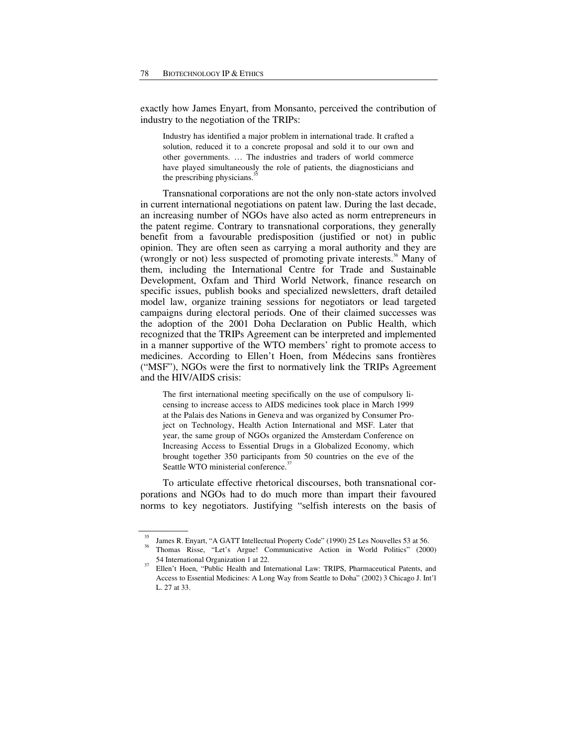exactly how James Enyart, from Monsanto, perceived the contribution of industry to the negotiation of the TRIPs:

Industry has identified a major problem in international trade. It crafted a solution, reduced it to a concrete proposal and sold it to our own and other governments. … The industries and traders of world commerce have played simultaneously the role of patients, the diagnosticians and the prescribing physicians.<sup>3</sup>

Transnational corporations are not the only non-state actors involved in current international negotiations on patent law. During the last decade, an increasing number of NGOs have also acted as norm entrepreneurs in the patent regime. Contrary to transnational corporations, they generally benefit from a favourable predisposition (justified or not) in public opinion. They are often seen as carrying a moral authority and they are (wrongly or not) less suspected of promoting private interests.<sup>36</sup> Many of them, including the International Centre for Trade and Sustainable Development, Oxfam and Third World Network, finance research on specific issues, publish books and specialized newsletters, draft detailed model law, organize training sessions for negotiators or lead targeted campaigns during electoral periods. One of their claimed successes was the adoption of the 2001 Doha Declaration on Public Health, which recognized that the TRIPs Agreement can be interpreted and implemented in a manner supportive of the WTO members' right to promote access to medicines. According to Ellen't Hoen, from Médecins sans frontières ("MSF"), NGOs were the first to normatively link the TRIPs Agreement and the HIV/AIDS crisis:

The first international meeting specifically on the use of compulsory licensing to increase access to AIDS medicines took place in March 1999 at the Palais des Nations in Geneva and was organized by Consumer Project on Technology, Health Action International and MSF. Later that year, the same group of NGOs organized the Amsterdam Conference on Increasing Access to Essential Drugs in a Globalized Economy, which brought together 350 participants from 50 countries on the eve of the Seattle WTO ministerial conference.<sup>37</sup>

To articulate effective rhetorical discourses, both transnational corporations and NGOs had to do much more than impart their favoured norms to key negotiators. Justifying "selfish interests on the basis of

<sup>&</sup>lt;sup>35</sup> James R. Enyart, "A GATT Intellectual Property Code" (1990) 25 Les Nouvelles 53 at 56.<br><sup>36</sup> Thomas Risse, "Let's Argue! Communicative Action in World Politics" (2000)

<sup>54</sup> International Organization 1 at 22.<br>57 Ellen't Hoen, "Public Health and International Law: TRIPS, Pharmaceutical Patents, and

Access to Essential Medicines: A Long Way from Seattle to Doha" (2002) 3 Chicago J. Int'l L. 27 at 33.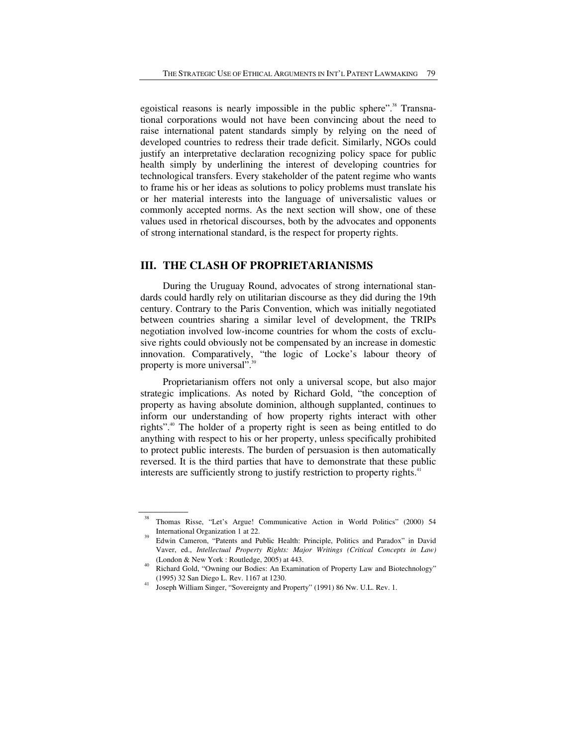egoistical reasons is nearly impossible in the public sphere".<sup>38</sup> Transnational corporations would not have been convincing about the need to raise international patent standards simply by relying on the need of developed countries to redress their trade deficit. Similarly, NGOs could justify an interpretative declaration recognizing policy space for public health simply by underlining the interest of developing countries for technological transfers. Every stakeholder of the patent regime who wants to frame his or her ideas as solutions to policy problems must translate his or her material interests into the language of universalistic values or commonly accepted norms. As the next section will show, one of these values used in rhetorical discourses, both by the advocates and opponents of strong international standard, is the respect for property rights.

### **III. THE CLASH OF PROPRIETARIANISMS**

During the Uruguay Round, advocates of strong international standards could hardly rely on utilitarian discourse as they did during the 19th century. Contrary to the Paris Convention, which was initially negotiated between countries sharing a similar level of development, the TRIPs negotiation involved low-income countries for whom the costs of exclusive rights could obviously not be compensated by an increase in domestic innovation. Comparatively, "the logic of Locke's labour theory of property is more universal".<sup>3</sup>

Proprietarianism offers not only a universal scope, but also major strategic implications. As noted by Richard Gold, "the conception of property as having absolute dominion, although supplanted, continues to inform our understanding of how property rights interact with other rights".<sup>40</sup> The holder of a property right is seen as being entitled to do anything with respect to his or her property, unless specifically prohibited to protect public interests. The burden of persuasion is then automatically reversed. It is the third parties that have to demonstrate that these public interests are sufficiently strong to justify restriction to property rights.<sup>41</sup>

<sup>&</sup>lt;sup>38</sup> Thomas Risse, "Let's Argue! Communicative Action in World Politics" (2000) 54 International Organization 1 at 22. 39 Edwin Cameron, "Patents and Public Health: Principle, Politics and Paradox" in David

Vaver, ed., *Intellectual Property Rights: Major Writings (Critical Concepts in Law)* (London & New York : Routledge, 2005) at 443.<br>Richard Gold, "Owning our Bodies: An Examination of Property Law and Biotechnology"

<sup>(1995) 32</sup> San Diego L. Rev. 1167 at 1230.<br>Joseph William Singer, "Sovereignty and Property" (1991) 86 Nw. U.L. Rev. 1.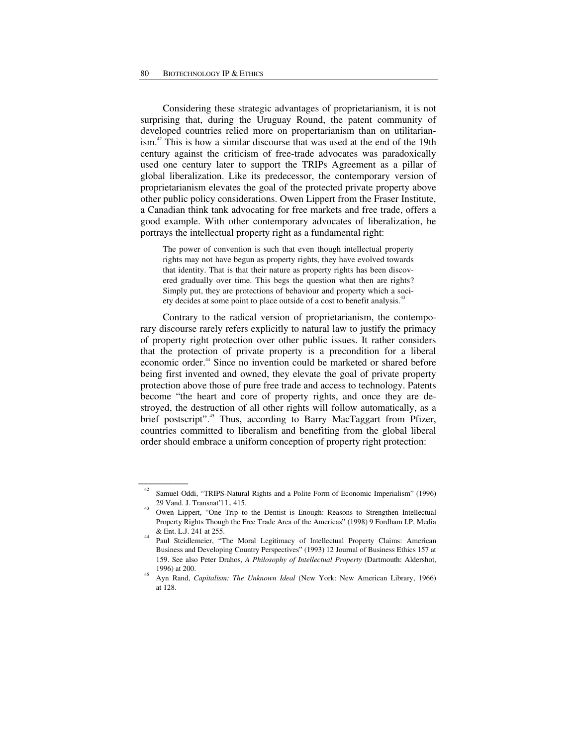Considering these strategic advantages of proprietarianism, it is not surprising that, during the Uruguay Round, the patent community of developed countries relied more on propertarianism than on utilitarianism.<sup>42</sup> This is how a similar discourse that was used at the end of the 19th century against the criticism of free-trade advocates was paradoxically used one century later to support the TRIPs Agreement as a pillar of global liberalization. Like its predecessor, the contemporary version of proprietarianism elevates the goal of the protected private property above other public policy considerations. Owen Lippert from the Fraser Institute, a Canadian think tank advocating for free markets and free trade, offers a good example. With other contemporary advocates of liberalization, he portrays the intellectual property right as a fundamental right:

The power of convention is such that even though intellectual property rights may not have begun as property rights, they have evolved towards that identity. That is that their nature as property rights has been discovered gradually over time. This begs the question what then are rights? Simply put, they are protections of behaviour and property which a society decides at some point to place outside of a cost to benefit analysis.<sup>4</sup>

Contrary to the radical version of proprietarianism, the contemporary discourse rarely refers explicitly to natural law to justify the primacy of property right protection over other public issues. It rather considers that the protection of private property is a precondition for a liberal economic order.<sup>44</sup> Since no invention could be marketed or shared before being first invented and owned, they elevate the goal of private property protection above those of pure free trade and access to technology. Patents become "the heart and core of property rights, and once they are destroyed, the destruction of all other rights will follow automatically, as a brief postscript".<sup>45</sup> Thus, according to Barry MacTaggart from Pfizer, countries committed to liberalism and benefiting from the global liberal order should embrace a uniform conception of property right protection:

<sup>&</sup>lt;sup>42</sup> Samuel Oddi, "TRIPS-Natural Rights and a Polite Form of Economic Imperialism" (1996) 29 Vand. J. Transnat'l L. 415.<br>43 Owen Lippert, "One Trip to the Dentist is Enough: Reasons to Strengthen Intellectual

Property Rights Though the Free Trade Area of the Americas" (1998) 9 Fordham I.P. Media

<sup>&</sup>amp; Ent. L.J. 241 at 255. 44 Paul Steidlemeier, "The Moral Legitimacy of Intellectual Property Claims: American Business and Developing Country Perspectives" (1993) 12 Journal of Business Ethics 157 at 159. See also Peter Drahos, *A Philosophy of Intellectual Property* (Dartmouth: Aldershot,

<sup>1996)</sup> at 200.<br>Ayn Rand, *Capitalism: The Unknown Ideal* (New York: New American Library, 1966) at 128.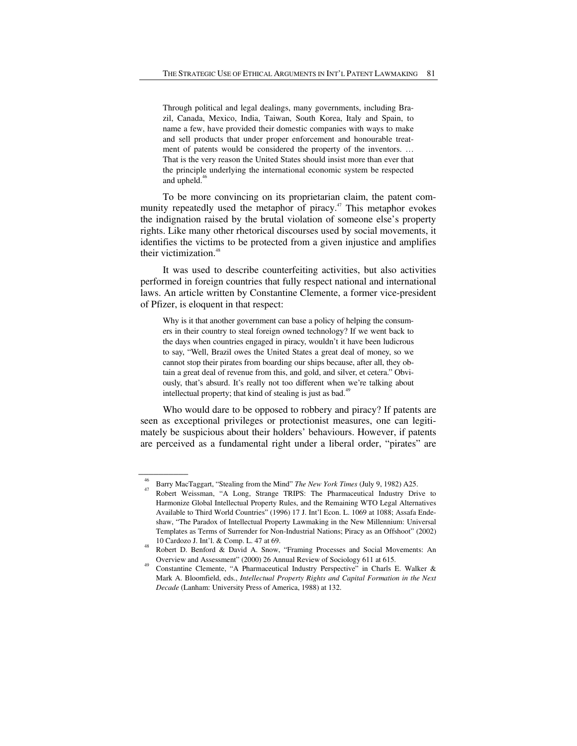Through political and legal dealings, many governments, including Brazil, Canada, Mexico, India, Taiwan, South Korea, Italy and Spain, to name a few, have provided their domestic companies with ways to make and sell products that under proper enforcement and honourable treatment of patents would be considered the property of the inventors. … That is the very reason the United States should insist more than ever that the principle underlying the international economic system be respected and upheld. $46$ 

To be more convincing on its proprietarian claim, the patent community repeatedly used the metaphor of piracy.<sup>47</sup> This metaphor evokes the indignation raised by the brutal violation of someone else's property rights. Like many other rhetorical discourses used by social movements, it identifies the victims to be protected from a given injustice and amplifies their victimization.<sup>48</sup>

It was used to describe counterfeiting activities, but also activities performed in foreign countries that fully respect national and international laws. An article written by Constantine Clemente, a former vice-president of Pfizer, is eloquent in that respect:

Why is it that another government can base a policy of helping the consumers in their country to steal foreign owned technology? If we went back to the days when countries engaged in piracy, wouldn't it have been ludicrous to say, "Well, Brazil owes the United States a great deal of money, so we cannot stop their pirates from boarding our ships because, after all, they obtain a great deal of revenue from this, and gold, and silver, et cetera." Obviously, that's absurd. It's really not too different when we're talking about intellectual property; that kind of stealing is just as bad. $49$ 

Who would dare to be opposed to robbery and piracy? If patents are seen as exceptional privileges or protectionist measures, one can legitimately be suspicious about their holders' behaviours. However, if patents are perceived as a fundamental right under a liberal order, "pirates" are

Barry MacTaggart, "Stealing from the Mind" *The New York Times* (July 9, 1982) A25. Robert Weissman, "A Long, Strange TRIPS: The Pharmaceutical Industry Drive to Harmonize Global Intellectual Property Rules, and the Remaining WTO Legal Alternatives Available to Third World Countries" (1996) 17 J. Int'l Econ. L. 1069 at 1088; Assafa Endeshaw, "The Paradox of Intellectual Property Lawmaking in the New Millennium: Universal Templates as Terms of Surrender for Non-Industrial Nations; Piracy as an Offshoot" (2002)

<sup>10</sup> Cardozo J. Int'l. & Comp. L. 47 at 69.<br>Robert D. Benford & David A. Snow, "Framing Processes and Social Movements: An

Overview and Assessment" (2000) 26 Annual Review of Sociology 611 at 615.<br>Constantine Clemente, "A Pharmaceutical Industry Perspective" in Charls E. Walker & Mark A. Bloomfield, eds., *Intellectual Property Rights and Capital Formation in the Next Decade* (Lanham: University Press of America, 1988) at 132.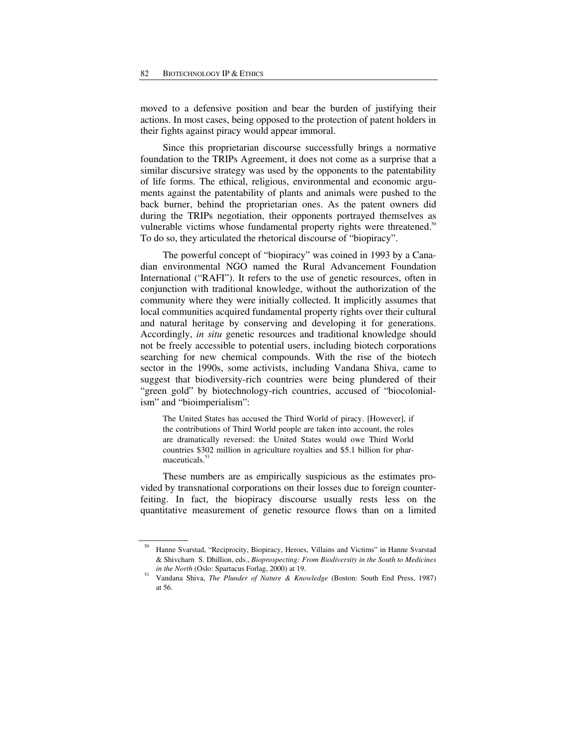moved to a defensive position and bear the burden of justifying their actions. In most cases, being opposed to the protection of patent holders in their fights against piracy would appear immoral.

Since this proprietarian discourse successfully brings a normative foundation to the TRIPs Agreement, it does not come as a surprise that a similar discursive strategy was used by the opponents to the patentability of life forms. The ethical, religious, environmental and economic arguments against the patentability of plants and animals were pushed to the back burner, behind the proprietarian ones. As the patent owners did during the TRIPs negotiation, their opponents portrayed themselves as vulnerable victims whose fundamental property rights were threatened.<sup>50</sup> To do so, they articulated the rhetorical discourse of "biopiracy".

The powerful concept of "biopiracy" was coined in 1993 by a Canadian environmental NGO named the Rural Advancement Foundation International ("RAFI"). It refers to the use of genetic resources, often in conjunction with traditional knowledge, without the authorization of the community where they were initially collected. It implicitly assumes that local communities acquired fundamental property rights over their cultural and natural heritage by conserving and developing it for generations. Accordingly, *in situ* genetic resources and traditional knowledge should not be freely accessible to potential users, including biotech corporations searching for new chemical compounds. With the rise of the biotech sector in the 1990s, some activists, including Vandana Shiva, came to suggest that biodiversity-rich countries were being plundered of their "green gold" by biotechnology-rich countries, accused of "biocolonialism" and "bioimperialism":

The United States has accused the Third World of piracy. [However], if the contributions of Third World people are taken into account, the roles are dramatically reversed: the United States would owe Third World countries \$302 million in agriculture royalties and \$5.1 billion for pharmaceuticals.<sup>51</sup>

These numbers are as empirically suspicious as the estimates provided by transnational corporations on their losses due to foreign counterfeiting. In fact, the biopiracy discourse usually rests less on the quantitative measurement of genetic resource flows than on a limited

<sup>50</sup> Hanne Svarstad, "Reciprocity, Biopiracy, Heroes, Villains and Victims" in Hanne Svarstad & Shivcharn S. Dhillion, eds., *Bioprospecting: From Biodiversity in the South to Medicines* 

*in the North* (Oslo: Spartacus Forlag, 2000) at 19. **51** Vandana Shiva, *The Plunder of Nature & Knowledge* (Boston: South End Press, 1987) at 56.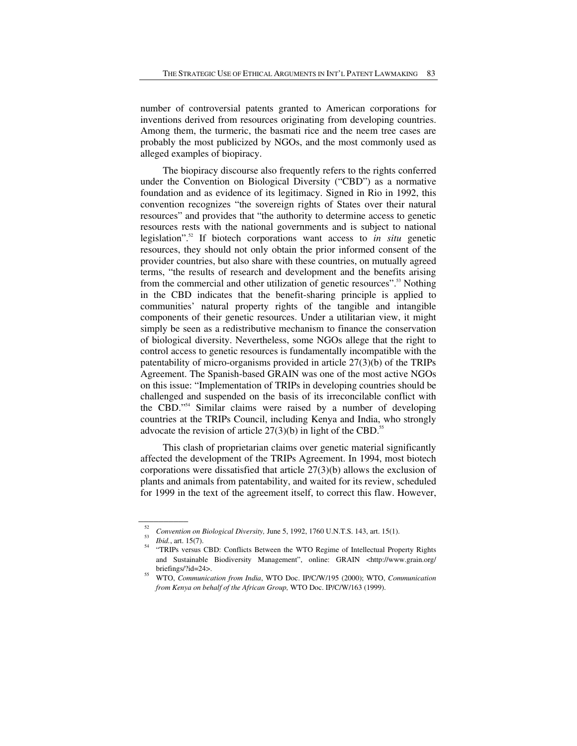number of controversial patents granted to American corporations for inventions derived from resources originating from developing countries. Among them, the turmeric, the basmati rice and the neem tree cases are probably the most publicized by NGOs, and the most commonly used as alleged examples of biopiracy.

The biopiracy discourse also frequently refers to the rights conferred under the Convention on Biological Diversity ("CBD") as a normative foundation and as evidence of its legitimacy. Signed in Rio in 1992, this convention recognizes "the sovereign rights of States over their natural resources" and provides that "the authority to determine access to genetic resources rests with the national governments and is subject to national legislation".<sup>52</sup> If biotech corporations want access to *in situ* genetic resources, they should not only obtain the prior informed consent of the provider countries, but also share with these countries, on mutually agreed terms, "the results of research and development and the benefits arising from the commercial and other utilization of genetic resources".<sup>53</sup> Nothing in the CBD indicates that the benefit-sharing principle is applied to communities' natural property rights of the tangible and intangible components of their genetic resources. Under a utilitarian view, it might simply be seen as a redistributive mechanism to finance the conservation of biological diversity. Nevertheless, some NGOs allege that the right to control access to genetic resources is fundamentally incompatible with the patentability of micro-organisms provided in article 27(3)(b) of the TRIPs Agreement. The Spanish-based GRAIN was one of the most active NGOs on this issue: "Implementation of TRIPs in developing countries should be challenged and suspended on the basis of its irreconcilable conflict with the CBD."54 Similar claims were raised by a number of developing countries at the TRIPs Council, including Kenya and India, who strongly advocate the revision of article  $27(3)(b)$  in light of the CBD.<sup>55</sup>

This clash of proprietarian claims over genetic material significantly affected the development of the TRIPs Agreement. In 1994, most biotech corporations were dissatisfied that article 27(3)(b) allows the exclusion of plants and animals from patentability, and waited for its review, scheduled for 1999 in the text of the agreement itself, to correct this flaw. However,

<sup>52</sup> <sup>22</sup> Convention on Biological Diversity, June 5, 1992, 1760 U.N.T.S. 143, art. 15(1).<br><sup>53</sup> *Ibid.*, art. 15(7).<br><sup>54</sup> "TRIPs versus CBD: Conflicts Between the WTO Regime of Intellectual Property Rights

and Sustainable Biodiversity Management", online: GRAIN <http://www.grain.org/ briefings/?id=24>. 55 WTO, *Communication from India*, WTO Doc. IP/C/W/195 (2000); WTO, *Communication* 

*from Kenya on behalf of the African Group,* WTO Doc. IP/C/W/163 (1999).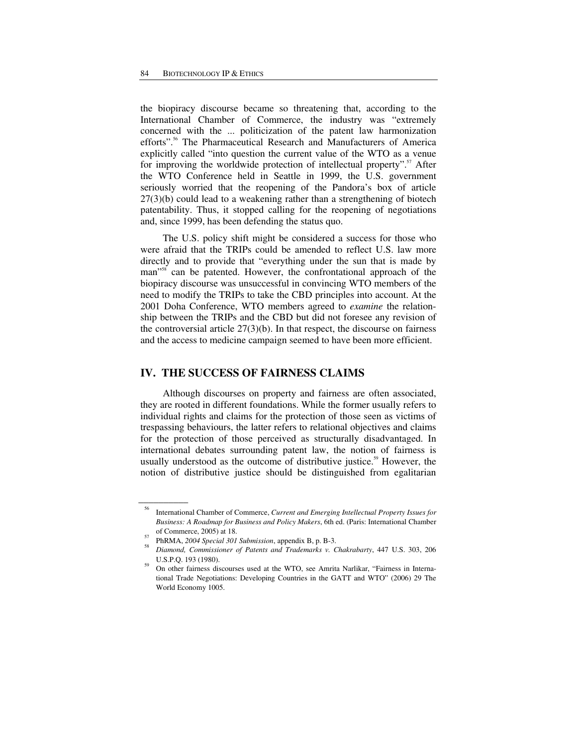the biopiracy discourse became so threatening that, according to the International Chamber of Commerce, the industry was "extremely concerned with the ... politicization of the patent law harmonization efforts".<sup>56</sup> The Pharmaceutical Research and Manufacturers of America explicitly called "into question the current value of the WTO as a venue for improving the worldwide protection of intellectual property".<sup>57</sup> After the WTO Conference held in Seattle in 1999, the U.S. government seriously worried that the reopening of the Pandora's box of article 27(3)(b) could lead to a weakening rather than a strengthening of biotech patentability. Thus, it stopped calling for the reopening of negotiations and, since 1999, has been defending the status quo.

The U.S. policy shift might be considered a success for those who were afraid that the TRIPs could be amended to reflect U.S. law more directly and to provide that "everything under the sun that is made by man<sup>"58</sup> can be patented. However, the confrontational approach of the biopiracy discourse was unsuccessful in convincing WTO members of the need to modify the TRIPs to take the CBD principles into account. At the 2001 Doha Conference, WTO members agreed to *examine* the relationship between the TRIPs and the CBD but did not foresee any revision of the controversial article  $27(3)(b)$ . In that respect, the discourse on fairness and the access to medicine campaign seemed to have been more efficient.

# **IV. THE SUCCESS OF FAIRNESS CLAIMS**

Although discourses on property and fairness are often associated, they are rooted in different foundations. While the former usually refers to individual rights and claims for the protection of those seen as victims of trespassing behaviours, the latter refers to relational objectives and claims for the protection of those perceived as structurally disadvantaged. In international debates surrounding patent law, the notion of fairness is usually understood as the outcome of distributive justice.<sup>59</sup> However, the notion of distributive justice should be distinguished from egalitarian

<sup>56</sup> International Chamber of Commerce, *Current and Emerging Intellectual Property Issues for Business: A Roadmap for Business and Policy Makers*, 6th ed. (Paris: International Chamber

of Commerce, 2005) at 18.<br><sup>57</sup> PhRMA, *2004 Special 301 Submission*, appendix B, p. B-3.

*Diamond, Commissioner of Patents and Trademarks v. Chakrabarty*, 447 U.S. 303, 206 U.S.P.Q. 193 (1980).<br>On other fairness discourses used at the WTO, see Amrita Narlikar, "Fairness in Interna-

tional Trade Negotiations: Developing Countries in the GATT and WTO" (2006) 29 The World Economy 1005.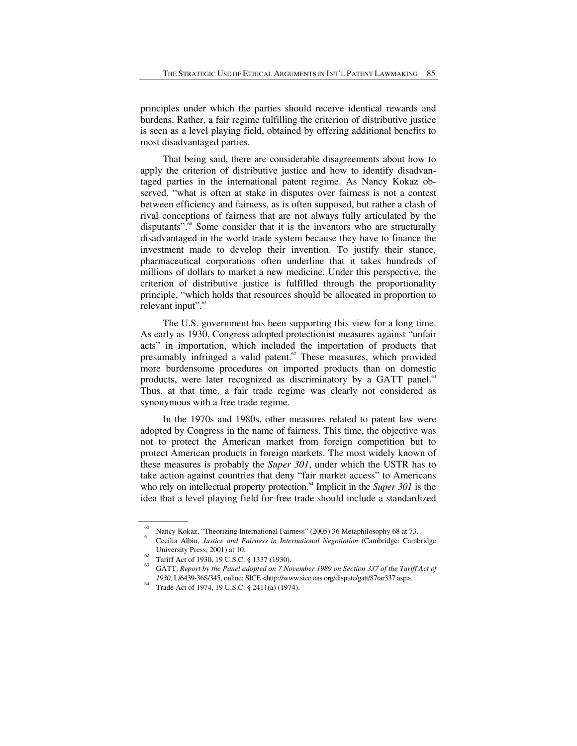principles under which the parties should receive identical rewards and burdens. Rather, a fair regime fulfilling the criterion of distributive justice is seen as a level playing field, obtained by offering additional benefits to most disadvantaged parties.

That being said, there are considerable disagreements about how to apply the criterion of distributive justice and how to identify disadvantaged parties in the international patent regime. As Nancy Kokaz observed, "what is often at stake in disputes over fairness is not a contest between efficiency and fairness, as is often supposed, but rather a clash of rival conceptions of fairness that are not always fully articulated by the disputants".<sup>60</sup> Some consider that it is the inventors who are structurally disadvantaged in the world trade system because they have to finance the investment made to develop their invention. To justify their stance, pharmaceutical corporations often underline that it takes hundreds of millions of dollars to market a new medicine. Under this perspective, the criterion of distributive justice is fulfilled through the proportionality principle, "which holds that resources should be allocated in proportion to relevant input".<sup>61</sup>

The U.S. government has been supporting this view for a long time. As early as 1930, Congress adopted protectionist measures against "unfair acts" in importation, which included the importation of products that presumably infringed a valid patent.<sup>62</sup> These measures, which provided more burdensome procedures on imported products than on domestic products, were later recognized as discriminatory by a GATT panel.<sup>63</sup> Thus, at that time, a fair trade regime was clearly not considered as synonymous with a free trade regime.

In the 1970s and 1980s, other measures related to patent law were adopted by Congress in the name of fairness. This time, the objective was not to protect the American market from foreign competition but to protect American products in foreign markets. The most widely known of these measures is probably the *Super 301*, under which the USTR has to take action against countries that deny "fair market access" to Americans who rely on intellectual property protection.<sup>64</sup> Implicit in the *Super 301* is the idea that a level playing field for free trade should include a standardized

<sup>&</sup>lt;sup>60</sup> Nancy Kokaz, "Theorizing International Fairness" (2005) 36 Metaphilosophy 68 at 73.<br><sup>61</sup> Cecilia Albin, *Justice and Fairness in International Negotiation* (Cambridge: Cambridge University Press, 2001) at 10.<br><sup>62</sup> Tariff Act of 1930, 19 U.S.C. § 1337 (1930).<br><sup>63</sup> GATT, *Report by the Panel adopted on 7 November 1989 on Section 337 of the Tariff Act of* 

*<sup>1930</sup>*, L/6439-36S/345, online: SICE <http://www.sice.oas.org/dispute/gatt/87tar337.asp>. Trade Act of 1974, 19 U.S.C. § 2411(a) (1974).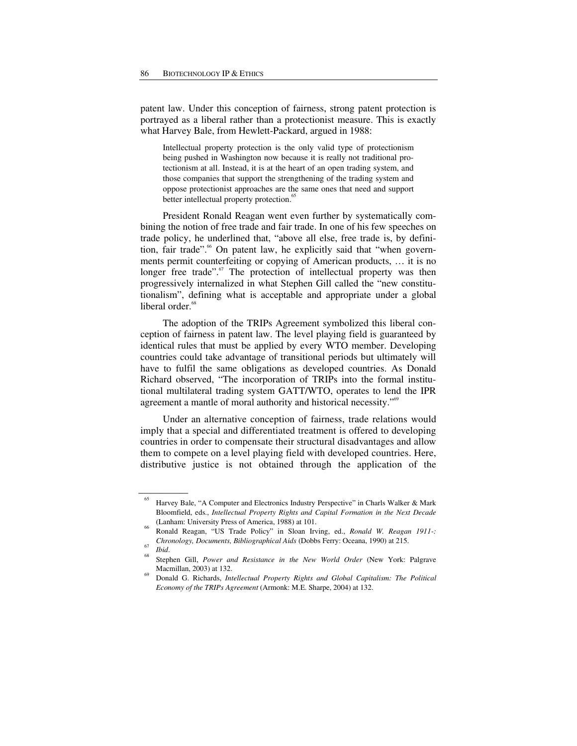patent law. Under this conception of fairness, strong patent protection is portrayed as a liberal rather than a protectionist measure. This is exactly what Harvey Bale, from Hewlett-Packard, argued in 1988:

Intellectual property protection is the only valid type of protectionism being pushed in Washington now because it is really not traditional protectionism at all. Instead, it is at the heart of an open trading system, and those companies that support the strengthening of the trading system and oppose protectionist approaches are the same ones that need and support better intellectual property protection.<sup>65</sup>

President Ronald Reagan went even further by systematically combining the notion of free trade and fair trade. In one of his few speeches on trade policy, he underlined that, "above all else, free trade is, by definition, fair trade".<sup>66</sup> On patent law, he explicitly said that "when governments permit counterfeiting or copying of American products, … it is no longer free trade".<sup>67</sup> The protection of intellectual property was then progressively internalized in what Stephen Gill called the "new constitutionalism", defining what is acceptable and appropriate under a global liberal order.<sup>68</sup>

The adoption of the TRIPs Agreement symbolized this liberal conception of fairness in patent law. The level playing field is guaranteed by identical rules that must be applied by every WTO member. Developing countries could take advantage of transitional periods but ultimately will have to fulfil the same obligations as developed countries. As Donald Richard observed, "The incorporation of TRIPs into the formal institutional multilateral trading system GATT/WTO, operates to lend the IPR agreement a mantle of moral authority and historical necessity."<sup>69</sup>

Under an alternative conception of fairness, trade relations would imply that a special and differentiated treatment is offered to developing countries in order to compensate their structural disadvantages and allow them to compete on a level playing field with developed countries. Here, distributive justice is not obtained through the application of the

<sup>65</sup> Harvey Bale, "A Computer and Electronics Industry Perspective" in Charls Walker & Mark Bloomfield, eds., *Intellectual Property Rights and Capital Formation in the Next Decade* (Lanham: University Press of America, 1988) at 101.<br>Ronald Reagan, "US Trade Policy" in Sloan Irving, ed., *Ronald W. Reagan 1911-:* 

*Chronology, Documents, Bibliographical Aids* (Dobbs Ferry: Oceana, 1990) at 215. 67

*Ibid*. 68 Stephen Gill, *Power and Resistance in the New World Order* (New York: Palgrave Macmillan, 2003) at 132.<br>Donald G. Richards, *Intellectual Property Rights and Global Capitalism: The Political* 

*Economy of the TRIPs Agreement* (Armonk: M.E. Sharpe, 2004) at 132.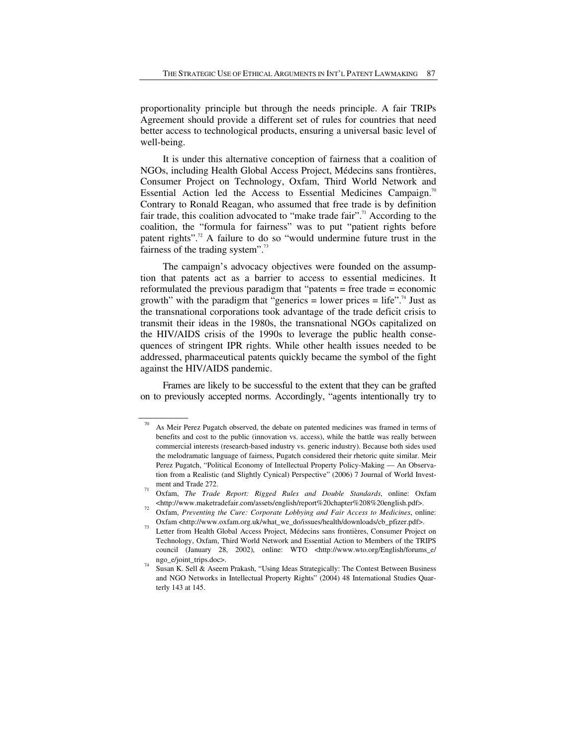proportionality principle but through the needs principle. A fair TRIPs Agreement should provide a different set of rules for countries that need better access to technological products, ensuring a universal basic level of well-being.

It is under this alternative conception of fairness that a coalition of NGOs, including Health Global Access Project, Médecins sans frontières, Consumer Project on Technology, Oxfam, Third World Network and Essential Action led the Access to Essential Medicines Campaign.<sup>70</sup> Contrary to Ronald Reagan, who assumed that free trade is by definition fair trade, this coalition advocated to "make trade fair".<sup>71</sup> According to the coalition, the "formula for fairness" was to put "patient rights before patent rights".<sup>72</sup> A failure to do so "would undermine future trust in the fairness of the trading system".<sup>73</sup>

The campaign's advocacy objectives were founded on the assumption that patents act as a barrier to access to essential medicines. It reformulated the previous paradigm that "patents = free trade = economic growth" with the paradigm that "generics = lower prices = life".<sup>74</sup> Just as the transnational corporations took advantage of the trade deficit crisis to transmit their ideas in the 1980s, the transnational NGOs capitalized on the HIV/AIDS crisis of the 1990s to leverage the public health consequences of stringent IPR rights. While other health issues needed to be addressed, pharmaceutical patents quickly became the symbol of the fight against the HIV/AIDS pandemic.

Frames are likely to be successful to the extent that they can be grafted on to previously accepted norms. Accordingly, "agents intentionally try to

 $70$  As Meir Perez Pugatch observed, the debate on patented medicines was framed in terms of benefits and cost to the public (innovation vs. access), while the battle was really between commercial interests (research-based industry vs. generic industry). Because both sides used the melodramatic language of fairness, Pugatch considered their rhetoric quite similar. Meir Perez Pugatch, "Political Economy of Intellectual Property Policy-Making — An Observation from a Realistic (and Slightly Cynical) Perspective" (2006) 7 Journal of World Investment and Trade 272.<br><sup>71</sup> Oxfam, *The Trade Report: Rigged Rules and Double Standards*, online: Oxfam

<sup>&</sup>lt;http://www.maketradefair.com/assets/english/report%20chapter%208%20english.pdf>. 72 Oxfam, *Preventing the Cure: Corporate Lobbying and Fair Access to Medicines*, online:

Oxfam <http://www.oxfam.org.uk/what\_we\_do/issues/health/downloads/cb\_pfizer.pdf>.<br>
Letter from Health Global Access Project, Médecins sans frontières, Consumer Project on

Technology, Oxfam, Third World Network and Essential Action to Members of the TRIPS council (January 28, 2002), online: WTO <http://www.wto.org/English/forums\_e/ ngo\_e/joint\_trips.doc>.<br>Susan K. Sell & Aseem Prakash, "Using Ideas Strategically: The Contest Between Business

and NGO Networks in Intellectual Property Rights" (2004) 48 International Studies Quarterly 143 at 145.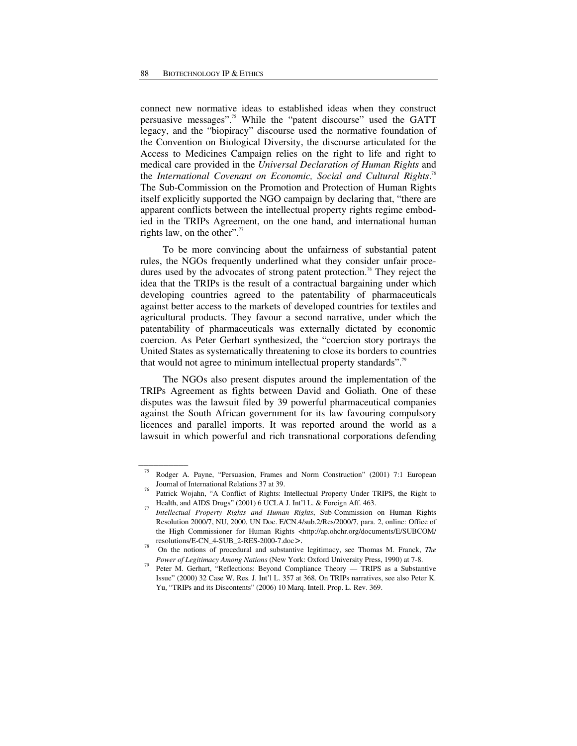connect new normative ideas to established ideas when they construct persuasive messages".<sup>75</sup> While the "patent discourse" used the GATT legacy, and the "biopiracy" discourse used the normative foundation of the Convention on Biological Diversity, the discourse articulated for the Access to Medicines Campaign relies on the right to life and right to medical care provided in the *Universal Declaration of Human Rights* and the *International Covenant on Economic, Social and Cultural Rights*. 76 The Sub-Commission on the Promotion and Protection of Human Rights itself explicitly supported the NGO campaign by declaring that, "there are apparent conflicts between the intellectual property rights regime embodied in the TRIPs Agreement, on the one hand, and international human rights law, on the other". $\cdot$ <sup>77</sup>

To be more convincing about the unfairness of substantial patent rules, the NGOs frequently underlined what they consider unfair procedures used by the advocates of strong patent protection.<sup>78</sup> They reject the idea that the TRIPs is the result of a contractual bargaining under which developing countries agreed to the patentability of pharmaceuticals against better access to the markets of developed countries for textiles and agricultural products. They favour a second narrative, under which the patentability of pharmaceuticals was externally dictated by economic coercion. As Peter Gerhart synthesized, the "coercion story portrays the United States as systematically threatening to close its borders to countries that would not agree to minimum intellectual property standards".<sup>79</sup>

The NGOs also present disputes around the implementation of the TRIPs Agreement as fights between David and Goliath. One of these disputes was the lawsuit filed by 39 powerful pharmaceutical companies against the South African government for its law favouring compulsory licences and parallel imports. It was reported around the world as a lawsuit in which powerful and rich transnational corporations defending

<sup>75</sup> Rodger A. Payne, "Persuasion, Frames and Norm Construction" (2001) 7:1 European Journal of International Relations 37 at 39.<br>Patrick Wojahn, "A Conflict of Rights: Intellectual Property Under TRIPS, the Right to

Health, and AIDS Drugs" (2001) 6 UCLA J. Int'l L. & Foreign Aff. 463. 77 *Intellectual Property Rights and Human Rights*, Sub-Commission on Human Rights

Resolution 2000/7, NU, 2000, UN Doc. E/CN.4/sub.2/Res/2000/7, para. 2, online: Office of the High Commissioner for Human Rights <http://ap.ohchr.org/documents/E/SUBCOM/ resolutions/E-CN\_4-SUB\_2-RES-2000-7.doc>. <br>On the notions of procedural and substantive legitimacy, see Thomas M. Franck, *The* 

*Power of Legitimacy Among Nations* (New York: Oxford University Press, 1990) at 7-8.<br>Peter M. Gerhart, "Reflections: Beyond Compliance Theory — TRIPS as a Substantive Issue" (2000) 32 Case W. Res. J. Int'l L. 357 at 368. On TRIPs narratives, see also Peter K. Yu, "TRIPs and its Discontents" (2006) 10 Marq. Intell. Prop. L. Rev. 369.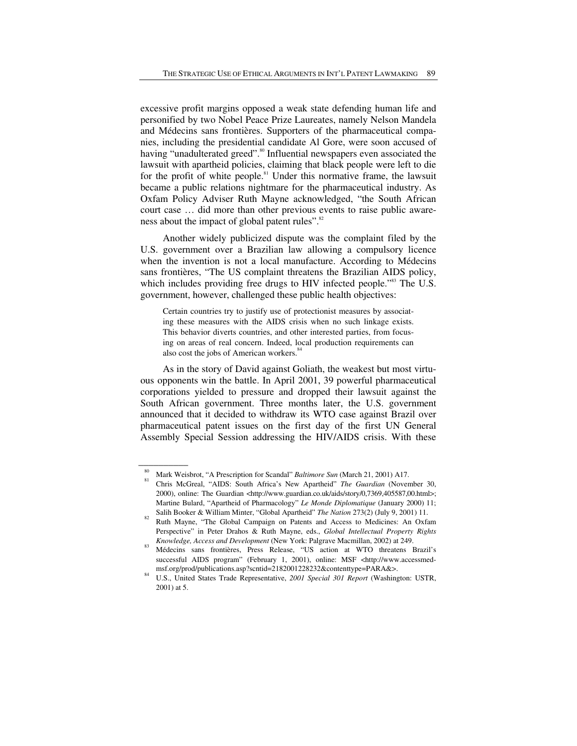excessive profit margins opposed a weak state defending human life and personified by two Nobel Peace Prize Laureates, namely Nelson Mandela and Médecins sans frontières. Supporters of the pharmaceutical companies, including the presidential candidate Al Gore, were soon accused of having "unadulterated greed".<sup>80</sup> Influential newspapers even associated the lawsuit with apartheid policies, claiming that black people were left to die for the profit of white people.<sup>81</sup> Under this normative frame, the lawsuit became a public relations nightmare for the pharmaceutical industry. As Oxfam Policy Adviser Ruth Mayne acknowledged, "the South African court case … did more than other previous events to raise public awareness about the impact of global patent rules".<sup>82</sup>

Another widely publicized dispute was the complaint filed by the U.S. government over a Brazilian law allowing a compulsory licence when the invention is not a local manufacture. According to Médecins sans frontières, "The US complaint threatens the Brazilian AIDS policy, which includes providing free drugs to HIV infected people."<sup>83</sup> The U.S. government, however, challenged these public health objectives:

Certain countries try to justify use of protectionist measures by associating these measures with the AIDS crisis when no such linkage exists. This behavior diverts countries, and other interested parties, from focusing on areas of real concern. Indeed, local production requirements can also cost the jobs of American workers.<sup>8</sup>

As in the story of David against Goliath, the weakest but most virtuous opponents win the battle. In April 2001, 39 powerful pharmaceutical corporations yielded to pressure and dropped their lawsuit against the South African government. Three months later, the U.S. government announced that it decided to withdraw its WTO case against Brazil over pharmaceutical patent issues on the first day of the first UN General Assembly Special Session addressing the HIV/AIDS crisis. With these

<sup>&</sup>lt;sup>80</sup> Mark Weisbrot, "A Prescription for Scandal" *Baltimore Sun* (March 21, 2001) A17.<br><sup>81</sup> Chris McGreal, "AIDS: South Africa's New Apartheid" *The Guardian* (November 30, 2000), online: The Guardian <http://www.guardian.co.uk/aids/story/0,7369,405587,00.html>; Martine Bulard, "Apartheid of Pharmacology" *Le Monde Diplomatique* (January 2000) 11;

Salih Booker & William Minter, "Global Apartheid" *The Nation* 273(2) (July 9, 2001) 11. 82 Ruth Mayne, "The Global Campaign on Patents and Access to Medicines: An Oxfam Perspective" in Peter Drahos & Ruth Mayne, eds., *Global Intellectual Property Rights Knowledge, Access and Development* (New York: Palgrave Macmillan, 2002) at 249. 83 Médecins sans frontières, Press Release, "US action at WTO threatens Brazil's

successful AIDS program" (February 1, 2001), online: MSF <http://www.accessmed-

msf.org/prod/publications.asp?scntid=2182001228232&contenttype=PARA&>. 84 U.S., United States Trade Representative, *2001 Special 301 Report* (Washington: USTR, 2001) at 5.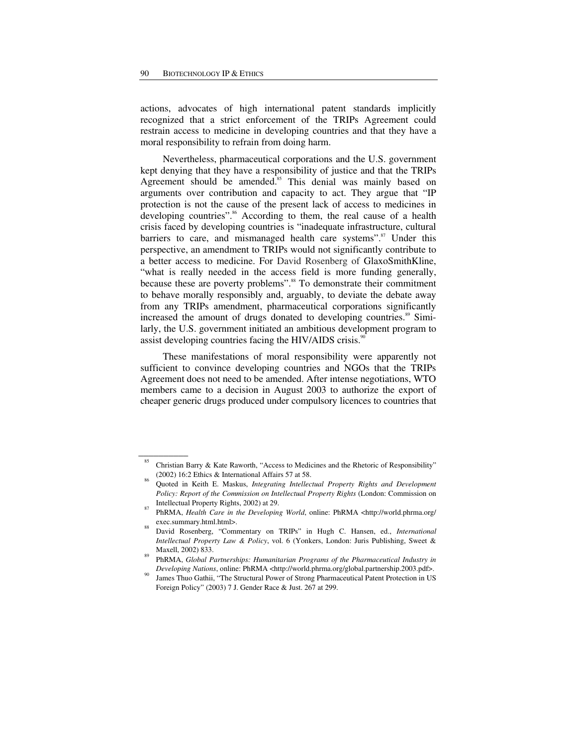$\overline{\phantom{a}}$ 

actions, advocates of high international patent standards implicitly recognized that a strict enforcement of the TRIPs Agreement could restrain access to medicine in developing countries and that they have a moral responsibility to refrain from doing harm.

Nevertheless, pharmaceutical corporations and the U.S. government kept denying that they have a responsibility of justice and that the TRIPs Agreement should be amended.<sup>85</sup> This denial was mainly based on arguments over contribution and capacity to act. They argue that "IP protection is not the cause of the present lack of access to medicines in developing countries".<sup>86</sup> According to them, the real cause of a health crisis faced by developing countries is "inadequate infrastructure, cultural barriers to care, and mismanaged health care systems".<sup>87</sup> Under this perspective, an amendment to TRIPs would not significantly contribute to a better access to medicine. For David Rosenberg of GlaxoSmithKline, "what is really needed in the access field is more funding generally, because these are poverty problems".<sup>88</sup> To demonstrate their commitment to behave morally responsibly and, arguably, to deviate the debate away from any TRIPs amendment, pharmaceutical corporations significantly increased the amount of drugs donated to developing countries.<sup>89</sup> Similarly, the U.S. government initiated an ambitious development program to assist developing countries facing the HIV/AIDS crisis.<sup>90</sup>

These manifestations of moral responsibility were apparently not sufficient to convince developing countries and NGOs that the TRIPs Agreement does not need to be amended. After intense negotiations, WTO members came to a decision in August 2003 to authorize the export of cheaper generic drugs produced under compulsory licences to countries that

<sup>&</sup>lt;sup>85</sup> Christian Barry & Kate Raworth, "Access to Medicines and the Rhetoric of Responsibility" (2002) 16:2 Ethics & International Affairs 57 at 58.<br>Quoted in Keith E. Maskus, *Integrating Intellectual Property Rights and Development* 

*Policy: Report of the Commission on Intellectual Property Rights* (London: Commission on Intellectual Property Rights, 2002) at 29.<br> **PhRMA,** *Health Care in the Developing World*, online: PhRMA <http://world.phrma.org/

exec.summary.html.html>.<br>David Rosenberg, "Commentary on TRIPs" in Hugh C. Hansen, ed., *International* 

*Intellectual Property Law & Policy*, vol. 6 (Yonkers, London: Juris Publishing, Sweet & Maxell, 2002) 833.<br>PhRMA, *Global Partnerships: Humanitarian Programs of the Pharmaceutical Industry in* 

*Developing Nations*, online: PhRMA <http://world.phrma.org/global.partnership.2003.pdf>. James Thuo Gathii, "The Structural Power of Strong Pharmaceutical Patent Protection in US Foreign Policy" (2003) 7 J. Gender Race & Just. 267 at 299.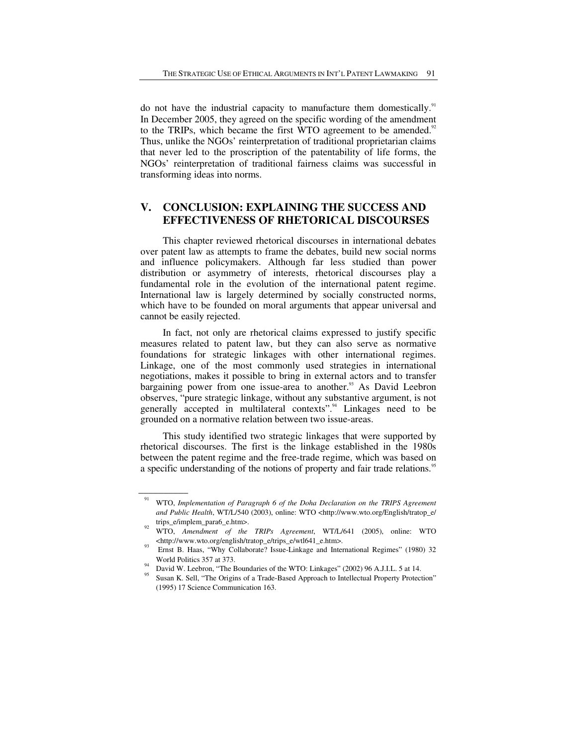do not have the industrial capacity to manufacture them domestically.<sup>91</sup> In December 2005, they agreed on the specific wording of the amendment to the TRIPs, which became the first WTO agreement to be amended.<sup>92</sup> Thus, unlike the NGOs' reinterpretation of traditional proprietarian claims that never led to the proscription of the patentability of life forms, the NGOs' reinterpretation of traditional fairness claims was successful in transforming ideas into norms.

# **V. CONCLUSION: EXPLAINING THE SUCCESS AND EFFECTIVENESS OF RHETORICAL DISCOURSES**

This chapter reviewed rhetorical discourses in international debates over patent law as attempts to frame the debates, build new social norms and influence policymakers. Although far less studied than power distribution or asymmetry of interests, rhetorical discourses play a fundamental role in the evolution of the international patent regime. International law is largely determined by socially constructed norms, which have to be founded on moral arguments that appear universal and cannot be easily rejected.

In fact, not only are rhetorical claims expressed to justify specific measures related to patent law, but they can also serve as normative foundations for strategic linkages with other international regimes. Linkage, one of the most commonly used strategies in international negotiations, makes it possible to bring in external actors and to transfer bargaining power from one issue-area to another.<sup>93</sup> As David Leebron observes, "pure strategic linkage, without any substantive argument, is not generally accepted in multilateral contexts".<sup>94</sup> Linkages need to be grounded on a normative relation between two issue-areas.

This study identified two strategic linkages that were supported by rhetorical discourses. The first is the linkage established in the 1980s between the patent regime and the free-trade regime, which was based on a specific understanding of the notions of property and fair trade relations.<sup>95</sup>

<sup>91</sup> WTO, *Implementation of Paragraph 6 of the Doha Declaration on the TRIPS Agreement and Public Health*, WT/L/540 (2003), online: WTO <http://www.wto.org/English/tratop\_e/ trips\_e/implem\_para6\_e.htm>. 92 WTO, *Amendment of the TRIPs Agreement*, WT/L/641 (2005), online: WTO

 $\lt$ http://www.wto.org/english/tratop\_e/trips\_e/wtl641\_e.htm>.<br>Ernst B. Haas, "Why Collaborate? Issue-Linkage and International Regimes" (1980) 32

World Politics 357 at 373.<br>94 David W. Leebron, "The Boundaries of the WTO: Linkages" (2002) 96 A.J.I.L. 5 at 14.<br>94 Susan K. Sell, "The Origins of a Trade-Based Approach to Intellectual Property Protection" (1995) 17 Science Communication 163.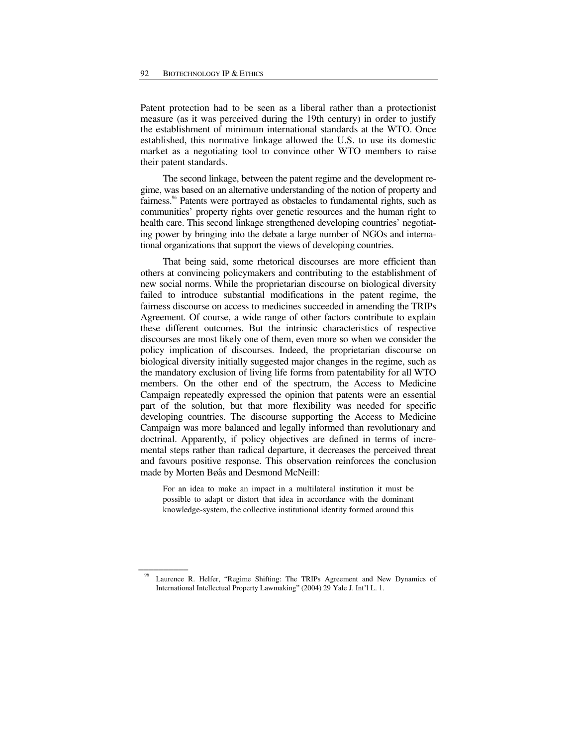Patent protection had to be seen as a liberal rather than a protectionist measure (as it was perceived during the 19th century) in order to justify the establishment of minimum international standards at the WTO. Once established, this normative linkage allowed the U.S. to use its domestic market as a negotiating tool to convince other WTO members to raise their patent standards.

The second linkage, between the patent regime and the development regime, was based on an alternative understanding of the notion of property and fairness.<sup>96</sup> Patents were portrayed as obstacles to fundamental rights, such as communities' property rights over genetic resources and the human right to health care. This second linkage strengthened developing countries' negotiating power by bringing into the debate a large number of NGOs and international organizations that support the views of developing countries.

That being said, some rhetorical discourses are more efficient than others at convincing policymakers and contributing to the establishment of new social norms. While the proprietarian discourse on biological diversity failed to introduce substantial modifications in the patent regime, the fairness discourse on access to medicines succeeded in amending the TRIPs Agreement. Of course, a wide range of other factors contribute to explain these different outcomes. But the intrinsic characteristics of respective discourses are most likely one of them, even more so when we consider the policy implication of discourses. Indeed, the proprietarian discourse on biological diversity initially suggested major changes in the regime, such as the mandatory exclusion of living life forms from patentability for all WTO members. On the other end of the spectrum, the Access to Medicine Campaign repeatedly expressed the opinion that patents were an essential part of the solution, but that more flexibility was needed for specific developing countries. The discourse supporting the Access to Medicine Campaign was more balanced and legally informed than revolutionary and doctrinal. Apparently, if policy objectives are defined in terms of incremental steps rather than radical departure, it decreases the perceived threat and favours positive response. This observation reinforces the conclusion made by Morten Bøås and Desmond McNeill:

For an idea to make an impact in a multilateral institution it must be possible to adapt or distort that idea in accordance with the dominant knowledge-system, the collective institutional identity formed around this

Laurence R. Helfer, "Regime Shifting: The TRIPs Agreement and New Dynamics of International Intellectual Property Lawmaking" (2004) 29 Yale J. Int'l L. 1.